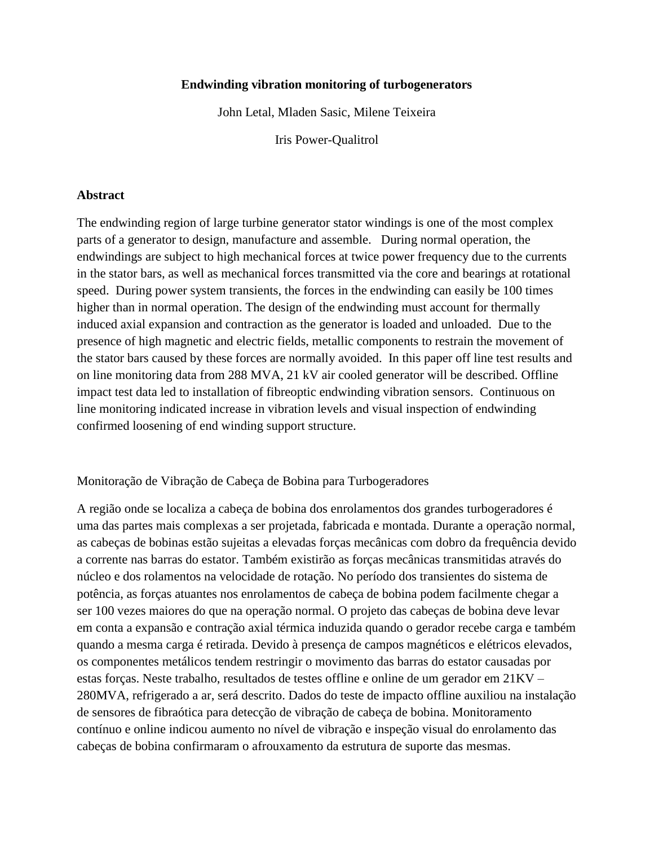### **Endwinding vibration monitoring of turbogenerators**

John Letal, Mladen Sasic, Milene Teixeira

Iris Power-Qualitrol

### **Abstract**

The endwinding region of large turbine generator stator windings is one of the most complex parts of a generator to design, manufacture and assemble. During normal operation, the endwindings are subject to high mechanical forces at twice power frequency due to the currents in the stator bars, as well as mechanical forces transmitted via the core and bearings at rotational speed. During power system transients, the forces in the endwinding can easily be 100 times higher than in normal operation. The design of the endwinding must account for thermally induced axial expansion and contraction as the generator is loaded and unloaded. Due to the presence of high magnetic and electric fields, metallic components to restrain the movement of the stator bars caused by these forces are normally avoided. In this paper off line test results and on line monitoring data from 288 MVA, 21 kV air cooled generator will be described. Offline impact test data led to installation of fibreoptic endwinding vibration sensors. Continuous on line monitoring indicated increase in vibration levels and visual inspection of endwinding confirmed loosening of end winding support structure.

## Monitoração de Vibração de Cabeça de Bobina para Turbogeradores

A região onde se localiza a cabeça de bobina dos enrolamentos dos grandes turbogeradores é uma das partes mais complexas a ser projetada, fabricada e montada. Durante a operação normal, as cabeças de bobinas estão sujeitas a elevadas forças mecânicas com dobro da frequência devido a corrente nas barras do estator. Também existirão as forças mecânicas transmitidas através do núcleo e dos rolamentos na velocidade de rotação. No período dos transientes do sistema de potência, as forças atuantes nos enrolamentos de cabeça de bobina podem facilmente chegar a ser 100 vezes maiores do que na operação normal. O projeto das cabeças de bobina deve levar em conta a expansão e contração axial térmica induzida quando o gerador recebe carga e também quando a mesma carga é retirada. Devido à presença de campos magnéticos e elétricos elevados, os componentes metálicos tendem restringir o movimento das barras do estator causadas por estas forças. Neste trabalho, resultados de testes offline e online de um gerador em 21KV – 280MVA, refrigerado a ar, será descrito. Dados do teste de impacto offline auxiliou na instalação de sensores de fibraótica para detecção de vibração de cabeça de bobina. Monitoramento contínuo e online indicou aumento no nível de vibração e inspeção visual do enrolamento das cabeças de bobina confirmaram o afrouxamento da estrutura de suporte das mesmas.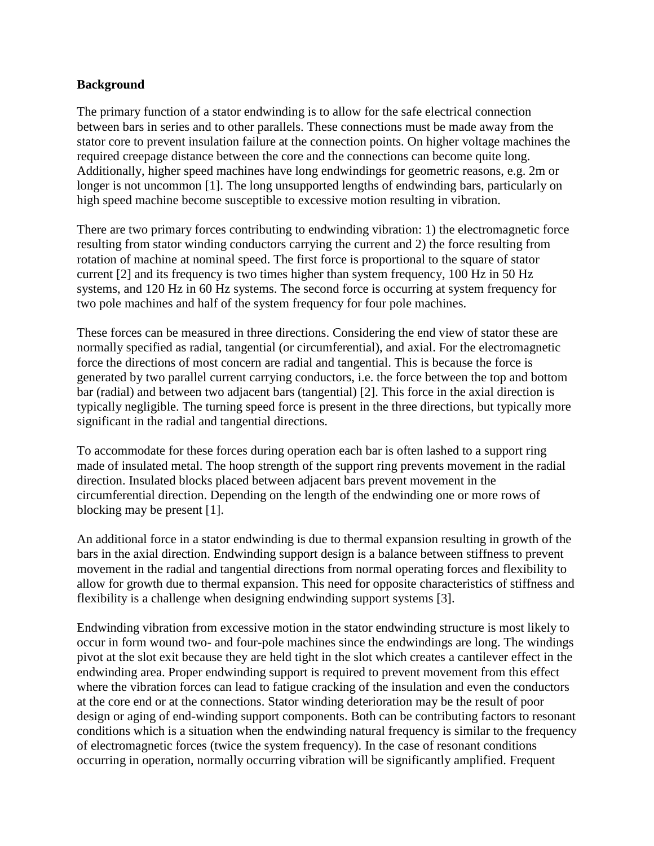## **Background**

The primary function of a stator endwinding is to allow for the safe electrical connection between bars in series and to other parallels. These connections must be made away from the stator core to prevent insulation failure at the connection points. On higher voltage machines the required creepage distance between the core and the connections can become quite long. Additionally, higher speed machines have long endwindings for geometric reasons, e.g. 2m or longer is not uncommon [1]. The long unsupported lengths of endwinding bars, particularly on high speed machine become susceptible to excessive motion resulting in vibration.

There are two primary forces contributing to endwinding vibration: 1) the electromagnetic force resulting from stator winding conductors carrying the current and 2) the force resulting from rotation of machine at nominal speed. The first force is proportional to the square of stator current [2] and its frequency is two times higher than system frequency, 100 Hz in 50 Hz systems, and 120 Hz in 60 Hz systems. The second force is occurring at system frequency for two pole machines and half of the system frequency for four pole machines.

These forces can be measured in three directions. Considering the end view of stator these are normally specified as radial, tangential (or circumferential), and axial. For the electromagnetic force the directions of most concern are radial and tangential. This is because the force is generated by two parallel current carrying conductors, i.e. the force between the top and bottom bar (radial) and between two adjacent bars (tangential) [2]. This force in the axial direction is typically negligible. The turning speed force is present in the three directions, but typically more significant in the radial and tangential directions.

To accommodate for these forces during operation each bar is often lashed to a support ring made of insulated metal. The hoop strength of the support ring prevents movement in the radial direction. Insulated blocks placed between adjacent bars prevent movement in the circumferential direction. Depending on the length of the endwinding one or more rows of blocking may be present [1].

An additional force in a stator endwinding is due to thermal expansion resulting in growth of the bars in the axial direction. Endwinding support design is a balance between stiffness to prevent movement in the radial and tangential directions from normal operating forces and flexibility to allow for growth due to thermal expansion. This need for opposite characteristics of stiffness and flexibility is a challenge when designing endwinding support systems [3].

Endwinding vibration from excessive motion in the stator endwinding structure is most likely to occur in form wound two- and four-pole machines since the endwindings are long. The windings pivot at the slot exit because they are held tight in the slot which creates a cantilever effect in the endwinding area. Proper endwinding support is required to prevent movement from this effect where the vibration forces can lead to fatigue cracking of the insulation and even the conductors at the core end or at the connections. Stator winding deterioration may be the result of poor design or aging of end-winding support components. Both can be contributing factors to resonant conditions which is a situation when the endwinding natural frequency is similar to the frequency of electromagnetic forces (twice the system frequency). In the case of resonant conditions occurring in operation, normally occurring vibration will be significantly amplified. Frequent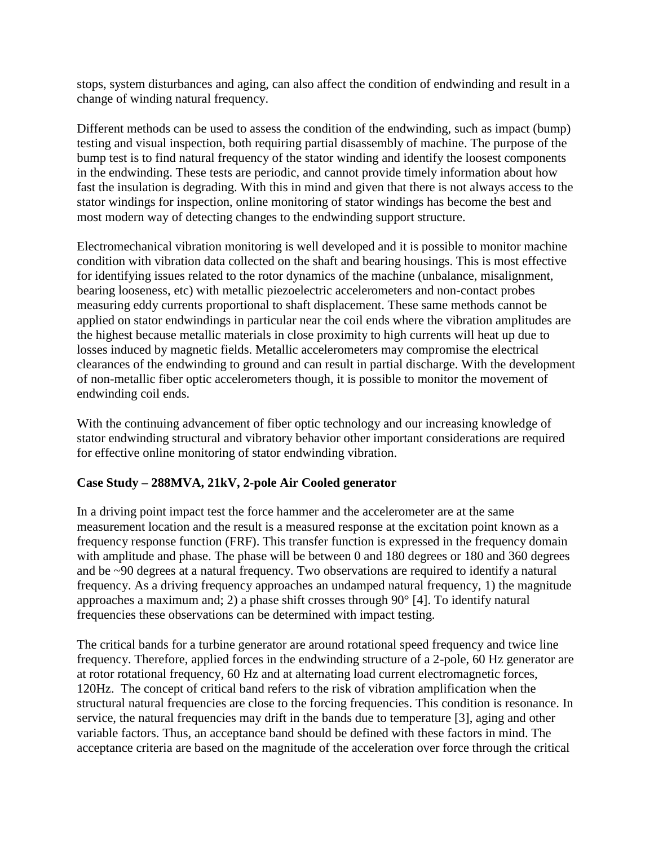stops, system disturbances and aging, can also affect the condition of endwinding and result in a change of winding natural frequency.

Different methods can be used to assess the condition of the endwinding, such as impact (bump) testing and visual inspection, both requiring partial disassembly of machine. The purpose of the bump test is to find natural frequency of the stator winding and identify the loosest components in the endwinding. These tests are periodic, and cannot provide timely information about how fast the insulation is degrading. With this in mind and given that there is not always access to the stator windings for inspection, online monitoring of stator windings has become the best and most modern way of detecting changes to the endwinding support structure.

Electromechanical vibration monitoring is well developed and it is possible to monitor machine condition with vibration data collected on the shaft and bearing housings. This is most effective for identifying issues related to the rotor dynamics of the machine (unbalance, misalignment, bearing looseness, etc) with metallic piezoelectric accelerometers and non-contact probes measuring eddy currents proportional to shaft displacement. These same methods cannot be applied on stator endwindings in particular near the coil ends where the vibration amplitudes are the highest because metallic materials in close proximity to high currents will heat up due to losses induced by magnetic fields. Metallic accelerometers may compromise the electrical clearances of the endwinding to ground and can result in partial discharge. With the development of non-metallic fiber optic accelerometers though, it is possible to monitor the movement of endwinding coil ends.

With the continuing advancement of fiber optic technology and our increasing knowledge of stator endwinding structural and vibratory behavior other important considerations are required for effective online monitoring of stator endwinding vibration.

# **Case Study – 288MVA, 21kV, 2-pole Air Cooled generator**

In a driving point impact test the force hammer and the accelerometer are at the same measurement location and the result is a measured response at the excitation point known as a frequency response function (FRF). This transfer function is expressed in the frequency domain with amplitude and phase. The phase will be between 0 and 180 degrees or 180 and 360 degrees and be ~90 degrees at a natural frequency. Two observations are required to identify a natural frequency. As a driving frequency approaches an undamped natural frequency, 1) the magnitude approaches a maximum and; 2) a phase shift crosses through 90° [4]. To identify natural frequencies these observations can be determined with impact testing.

The critical bands for a turbine generator are around rotational speed frequency and twice line frequency. Therefore, applied forces in the endwinding structure of a 2-pole, 60 Hz generator are at rotor rotational frequency, 60 Hz and at alternating load current electromagnetic forces, 120Hz. The concept of critical band refers to the risk of vibration amplification when the structural natural frequencies are close to the forcing frequencies. This condition is resonance. In service, the natural frequencies may drift in the bands due to temperature [3], aging and other variable factors. Thus, an acceptance band should be defined with these factors in mind. The acceptance criteria are based on the magnitude of the acceleration over force through the critical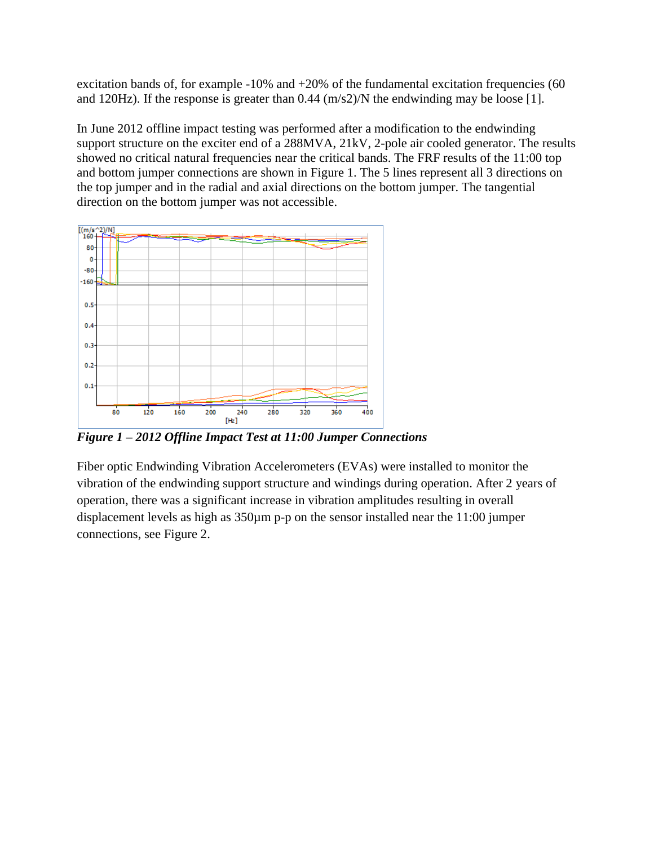excitation bands of, for example -10% and +20% of the fundamental excitation frequencies (60 and 120Hz). If the response is greater than 0.44 (m/s2)/N the endwinding may be loose [1].

In June 2012 offline impact testing was performed after a modification to the endwinding support structure on the exciter end of a 288MVA, 21kV, 2-pole air cooled generator. The results showed no critical natural frequencies near the critical bands. The FRF results of the 11:00 top and bottom jumper connections are shown in Figure 1. The 5 lines represent all 3 directions on the top jumper and in the radial and axial directions on the bottom jumper. The tangential direction on the bottom jumper was not accessible.



*Figure 1 – 2012 Offline Impact Test at 11:00 Jumper Connections*

Fiber optic Endwinding Vibration Accelerometers (EVAs) were installed to monitor the vibration of the endwinding support structure and windings during operation. After 2 years of operation, there was a significant increase in vibration amplitudes resulting in overall displacement levels as high as 350µm p-p on the sensor installed near the 11:00 jumper connections, see Figure 2.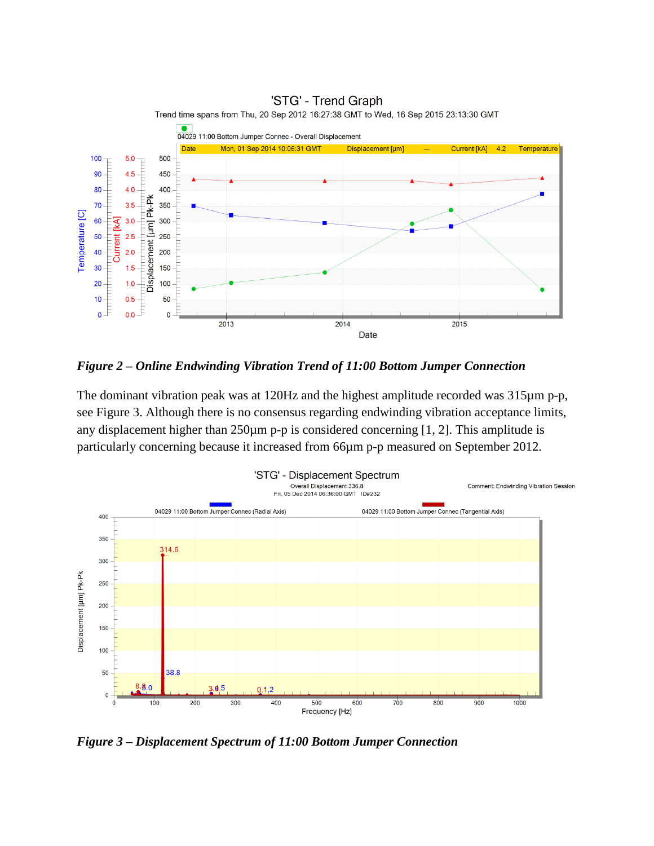

*Figure 2 – Online Endwinding Vibration Trend of 11:00 Bottom Jumper Connection*

The dominant vibration peak was at 120Hz and the highest amplitude recorded was 315µm p-p, see Figure 3. Although there is no consensus regarding endwinding vibration acceptance limits, any displacement higher than  $250\mu$ m p-p is considered concerning [1, 2]. This amplitude is particularly concerning because it increased from 66µm p-p measured on September 2012.



*Figure 3 – Displacement Spectrum of 11:00 Bottom Jumper Connection*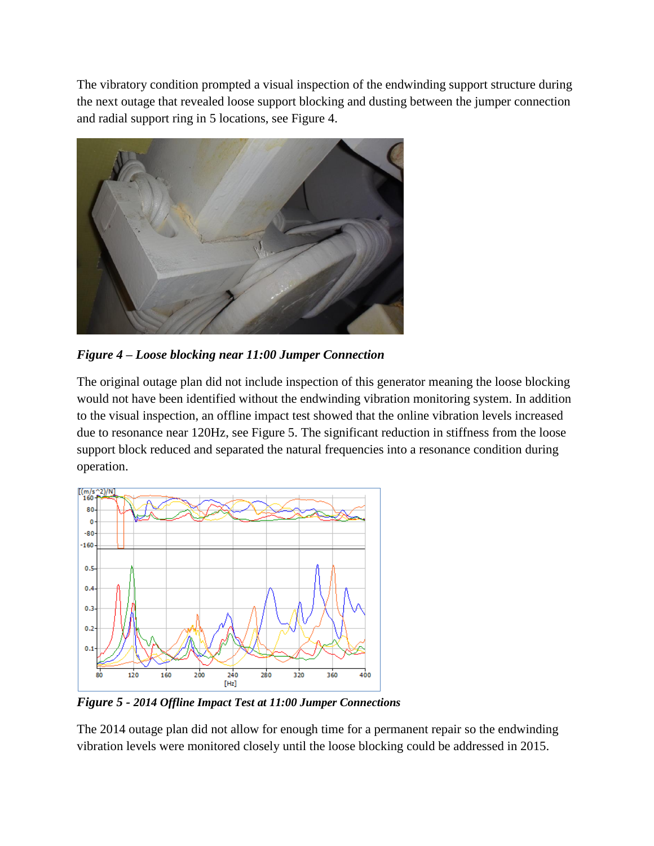The vibratory condition prompted a visual inspection of the endwinding support structure during the next outage that revealed loose support blocking and dusting between the jumper connection and radial support ring in 5 locations, see Figure 4.



*Figure 4 – Loose blocking near 11:00 Jumper Connection*

The original outage plan did not include inspection of this generator meaning the loose blocking would not have been identified without the endwinding vibration monitoring system. In addition to the visual inspection, an offline impact test showed that the online vibration levels increased due to resonance near 120Hz, see Figure 5. The significant reduction in stiffness from the loose support block reduced and separated the natural frequencies into a resonance condition during operation.



*Figure 5 - 2014 Offline Impact Test at 11:00 Jumper Connections*

The 2014 outage plan did not allow for enough time for a permanent repair so the endwinding vibration levels were monitored closely until the loose blocking could be addressed in 2015.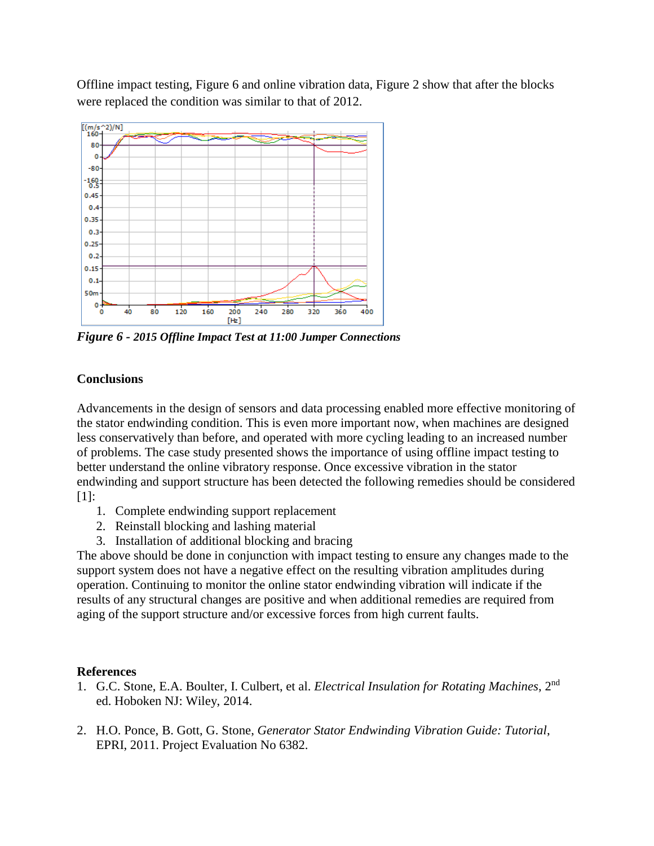Offline impact testing, Figure 6 and online vibration data, Figure 2 show that after the blocks were replaced the condition was similar to that of 2012.



*Figure 6 - 2015 Offline Impact Test at 11:00 Jumper Connections*

# **Conclusions**

Advancements in the design of sensors and data processing enabled more effective monitoring of the stator endwinding condition. This is even more important now, when machines are designed less conservatively than before, and operated with more cycling leading to an increased number of problems. The case study presented shows the importance of using offline impact testing to better understand the online vibratory response. Once excessive vibration in the stator endwinding and support structure has been detected the following remedies should be considered [1]:

- 1. Complete endwinding support replacement
- 2. Reinstall blocking and lashing material
- 3. Installation of additional blocking and bracing

The above should be done in conjunction with impact testing to ensure any changes made to the support system does not have a negative effect on the resulting vibration amplitudes during operation. Continuing to monitor the online stator endwinding vibration will indicate if the results of any structural changes are positive and when additional remedies are required from aging of the support structure and/or excessive forces from high current faults.

## **References**

- 1. G.C. Stone, E.A. Boulter, I. Culbert, et al. *Electrical Insulation for Rotating Machines*, 2nd ed. Hoboken NJ: Wiley, 2014.
- 2. H.O. Ponce, B. Gott, G. Stone, *Generator Stator Endwinding Vibration Guide: Tutorial*, EPRI, 2011. Project Evaluation No 6382.